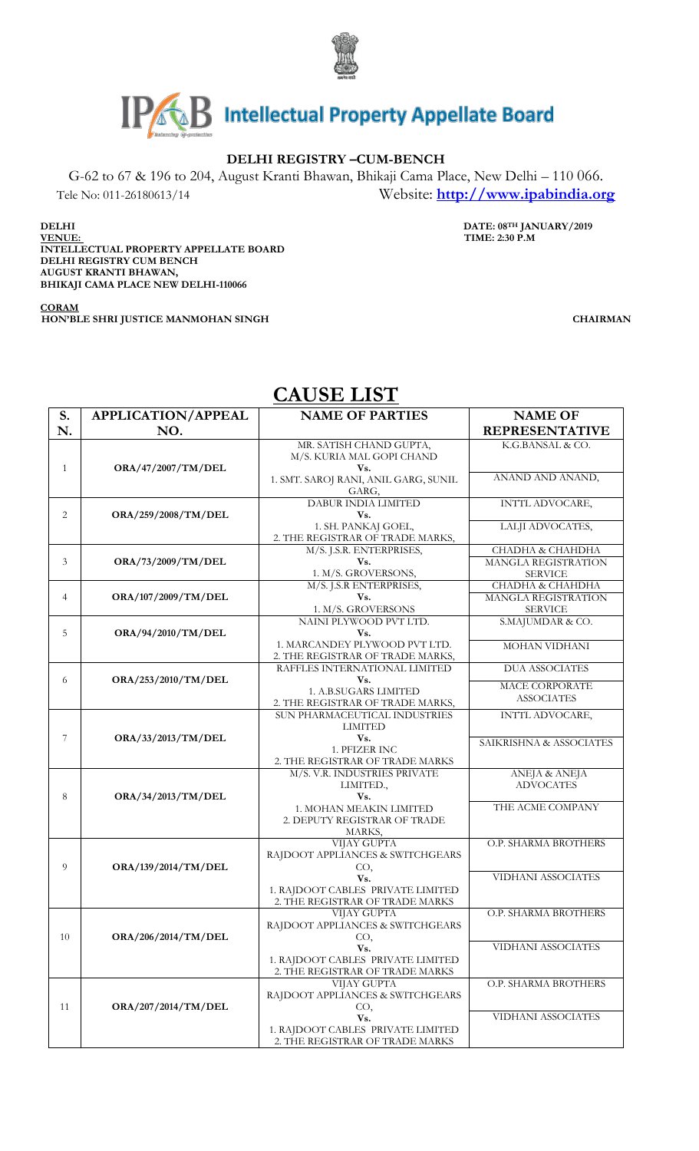



## **DELHI REGISTRY –CUM-BENCH**

G-62 to 67 & 196 to 204, August Kranti Bhawan, Bhikaji Cama Place, New Delhi – 110 066. Tele No: 011-26180613/14 Website: **[http://www.ipabindia.org](http://www.ipabindia.org/)**

**DELHI DATE: 08TH JANUARY/2019** 

**VENUE: TIME: 2:30 P.M INTELLECTUAL PROPERTY APPELLATE BOARD DELHI REGISTRY CUM BENCH AUGUST KRANTI BHAWAN, BHIKAJI CAMA PLACE NEW DELHI-110066**

**HON'BLE SHRI JUSTICE MANMOHAN SINGH CHAIRMAN**

|              | CAUSE LIST                |                                                                      |                                                |  |  |  |
|--------------|---------------------------|----------------------------------------------------------------------|------------------------------------------------|--|--|--|
| S.           | <b>APPLICATION/APPEAL</b> | <b>NAME OF PARTIES</b>                                               | <b>NAME OF</b>                                 |  |  |  |
| N.           | NO.                       |                                                                      | <b>REPRESENTATIVE</b>                          |  |  |  |
| $\mathbf{1}$ | ORA/47/2007/TM/DEL        | MR. SATISH CHAND GUPTA,<br>M/S. KURIA MAL GOPI CHAND<br>Vs.          | K.G.BANSAL & CO.                               |  |  |  |
|              |                           | 1. SMT. SAROJ RANI, ANIL GARG, SUNIL<br>GARG,                        | ANAND AND ANAND,                               |  |  |  |
| 2            | ORA/259/2008/TM/DEL       | DABUR INDIA LIMITED<br>Vs.                                           | INT'IL ADVOCARE,                               |  |  |  |
|              |                           | 1. SH. PANKAJ GOEL,<br>2. THE REGISTRAR OF TRADE MARKS,              | LALJI ADVOCATES,                               |  |  |  |
| 3            | ORA/73/2009/TM/DEL        | M/S. J.S.R. ENTERPRISES,<br>Vs.                                      | СНАДНА & СНАНДНА<br><b>MANGLA REGISTRATION</b> |  |  |  |
|              |                           | 1. M/S. GROVERSONS,                                                  | <b>SERVICE</b>                                 |  |  |  |
| 4            | ORA/107/2009/TM/DEL       | M/S. J.S.R ENTERPRISES,<br>Vs.                                       | СНАДНА & СНАНДНА<br>MANGLA REGISTRATION        |  |  |  |
|              |                           | 1. M/S. GROVERSONS                                                   | <b>SERVICE</b>                                 |  |  |  |
| 5            | <b>ORA/94/2010/TM/DEL</b> | NAINI PLYWOOD PVT LTD.<br>Vs.                                        | S.MAJUMDAR & CO.                               |  |  |  |
|              |                           | 1. MARCANDEY PLYWOOD PVT LTD.<br>2. THE REGISTRAR OF TRADE MARKS,    | MOHAN VIDHANI                                  |  |  |  |
|              |                           | RAFFLES INTERNATIONAL LIMITED                                        | <b>DUA ASSOCIATES</b>                          |  |  |  |
| 6            | ORA/253/2010/TM/DEL       | Vs.<br>1. A.B.SUGARS LIMITED                                         | <b>MACE CORPORATE</b>                          |  |  |  |
|              |                           | 2. THE REGISTRAR OF TRADE MARKS,                                     | <b>ASSOCIATES</b>                              |  |  |  |
|              | ORA/33/2013/TM/DEL        | SUN PHARMACEUTICAL INDUSTRIES                                        | INTIL ADVOCARE,                                |  |  |  |
|              |                           | LIMITED                                                              |                                                |  |  |  |
| 7            |                           | Vs.                                                                  | SAIKRISHNA & ASSOCIATES                        |  |  |  |
|              |                           | 1. PFIZER INC                                                        |                                                |  |  |  |
|              |                           | 2. THE REGISTRAR OF TRADE MARKS<br>M/S. V.R. INDUSTRIES PRIVATE      | ANEJA & ANEJA                                  |  |  |  |
|              |                           | LIMITED.,                                                            | <b>ADVOCATES</b>                               |  |  |  |
| 8            | ORA/34/2013/TM/DEL        | Vs.                                                                  |                                                |  |  |  |
|              |                           | 1. MOHAN MEAKIN LIMITED                                              | THE ACME COMPANY                               |  |  |  |
|              |                           | 2. DEPUTY REGISTRAR OF TRADE                                         |                                                |  |  |  |
|              | ORA/139/2014/TM/DEL       | MARKS,<br>VIJAY GUPTA                                                | O.P. SHARMA BROTHERS                           |  |  |  |
| 9            |                           | RAJDOOT APPLIANCES & SWITCHGEARS<br>CO,                              |                                                |  |  |  |
|              |                           | Vs.                                                                  | VIDHANI ASSOCIATES                             |  |  |  |
|              |                           | 1. RAJDOOT CABLES PRIVATE LIMITED<br>2. THE REGISTRAR OF TRADE MARKS |                                                |  |  |  |
|              | ORA/206/2014/TM/DEL       | VIJAY GUPTA<br>RAJDOOT APPLIANCES & SWITCHGEARS                      | O.P. SHARMA BROTHERS                           |  |  |  |
| 10           |                           | CO,                                                                  |                                                |  |  |  |
|              |                           | Vs.                                                                  | VIDHANI ASSOCIATES                             |  |  |  |
|              |                           | 1. RAJDOOT CABLES PRIVATE LIMITED<br>2. THE REGISTRAR OF TRADE MARKS |                                                |  |  |  |
| 11           | ORA/207/2014/TM/DEL       | VIJAY GUPTA<br>RAJDOOT APPLIANCES & SWITCHGEARS                      | O.P. SHARMA BROTHERS                           |  |  |  |
|              |                           | CO,                                                                  |                                                |  |  |  |
|              |                           | Vs.                                                                  | VIDHANI ASSOCIATES                             |  |  |  |
|              |                           | 1. RAJDOOT CABLES PRIVATE LIMITED                                    |                                                |  |  |  |
|              |                           | 2. THE REGISTRAR OF TRADE MARKS                                      |                                                |  |  |  |

## **CAUSE LIST**

**CORAM**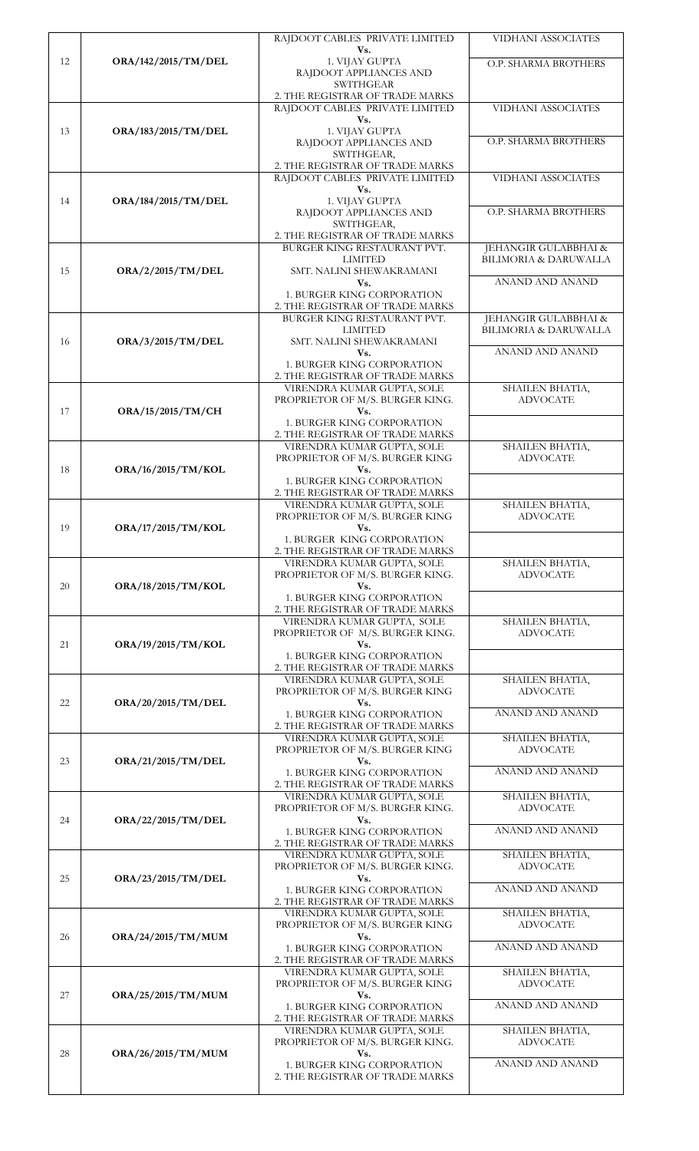|    |                                        | RAJDOOT CABLES PRIVATE LIMITED<br>Vs.                                                                                          | VIDHANI ASSOCIATES                                       |
|----|----------------------------------------|--------------------------------------------------------------------------------------------------------------------------------|----------------------------------------------------------|
| 12 | ORA/142/2015/TM/DEL                    | 1. VIJAY GUPTA<br>RAJDOOT APPLIANCES AND<br><b>SWITHGEAR</b>                                                                   | O.P. SHARMA BROTHERS                                     |
|    |                                        | 2. THE REGISTRAR OF TRADE MARKS<br>RAJDOOT CABLES PRIVATE LIMITED<br>Vs.                                                       | VIDHANI ASSOCIATES                                       |
| 13 | ORA/183/2015/TM/DEL                    | 1. VIJAY GUPTA<br>RAJDOOT APPLIANCES AND<br>SWITHGEAR,                                                                         | O.P. SHARMA BROTHERS                                     |
|    | ORA/184/2015/TM/DEL                    | 2. THE REGISTRAR OF TRADE MARKS<br>RAJDOOT CABLES PRIVATE LIMITED<br>Vs.                                                       | VIDHANI ASSOCIATES                                       |
| 14 |                                        | 1. VIJAY GUPTA<br>RAJDOOT APPLIANCES AND<br>SWITHGEAR,                                                                         | O.P. SHARMA BROTHERS                                     |
| 15 | ORA/2/2015/TM/DEL<br>ORA/3/2015/TM/DEL | 2. THE REGISTRAR OF TRADE MARKS<br>BURGER KING RESTAURANT PVT.<br><b>LIMITED</b><br>SMT. NALINI SHEWAKRAMANI                   | JEHANGIR GULABBHAI &<br><b>BILIMORIA &amp; DARUWALLA</b> |
|    |                                        | Vs.<br>1. BURGER KING CORPORATION<br>2. THE REGISTRAR OF TRADE MARKS<br>BURGER KING RESTAURANT PVT.                            | ANAND AND ANAND<br>JEHANGIR GULABBHAI &                  |
| 16 |                                        | <b>LIMITED</b><br>SMT. NALINI SHEWAKRAMANI<br>Vs.                                                                              | <b>BILIMORIA &amp; DARUWALLA</b><br>ANAND AND ANAND      |
|    |                                        | 1. BURGER KING CORPORATION<br>2. THE REGISTRAR OF TRADE MARKS<br>VIRENDRA KUMAR GUPTA, SOLE                                    | SHAILEN BHATIA,                                          |
| 17 | ORA/15/2015/TM/CH                      | PROPRIETOR OF M/S. BURGER KING.<br>Vs.                                                                                         | <b>ADVOCATE</b>                                          |
|    |                                        | 1. BURGER KING CORPORATION<br>2. THE REGISTRAR OF TRADE MARKS<br>VIRENDRA KUMAR GUPTA, SOLE                                    | SHAILEN BHATIA,                                          |
| 18 | ORA/16/2015/TM/KOL                     | PROPRIETOR OF M/S. BURGER KING<br>Vs.<br>1. BURGER KING CORPORATION<br>2. THE REGISTRAR OF TRADE MARKS                         | <b>ADVOCATE</b>                                          |
|    | ORA/17/2015/TM/KOL                     | VIRENDRA KUMAR GUPTA, SOLE<br>PROPRIETOR OF M/S. BURGER KING                                                                   | SHAILEN BHATIA,<br><b>ADVOCATE</b>                       |
| 19 |                                        | Vs.<br><b>1. BURGER KING CORPORATION</b><br>2. THE REGISTRAR OF TRADE MARKS                                                    |                                                          |
| 20 | ORA/18/2015/TM/KOL                     | VIRENDRA KUMAR GUPTA, SOLE<br>PROPRIETOR OF M/S. BURGER KING.<br>Vs.                                                           | SHAILEN BHATIA,<br><b>ADVOCATE</b>                       |
|    |                                        | 1. BURGER KING CORPORATION<br>2. THE REGISTRAR OF TRADE MARKS<br>VIRENDRA KUMAR GUPTA, SOLE<br>PROPRIETOR OF M/S. BURGER KING. | SHAILEN BHATIA,<br><b>ADVOCATE</b>                       |
| 21 | ORA/19/2015/TM/KOL                     | Vs.<br>1. BURGER KING CORPORATION<br>2. THE REGISTRAR OF TRADE MARKS                                                           |                                                          |
| 22 | ORA/20/2015/TM/DEL                     | VIRENDRA KUMAR GUPTA, SOLE<br>PROPRIETOR OF M/S. BURGER KING<br>Vs.<br>1. BURGER KING CORPORATION                              | SHAILEN BHATIA,<br><b>ADVOCATE</b><br>ANAND AND ANAND    |
|    |                                        | 2. THE REGISTRAR OF TRADE MARKS<br>VIRENDRA KUMAR GUPTA, SOLE                                                                  | SHAILEN BHATIA,                                          |
| 23 | ORA/21/2015/TM/DEL                     | PROPRIETOR OF M/S. BURGER KING<br>Vs.                                                                                          | <b>ADVOCATE</b><br>ANAND AND ANAND                       |
|    |                                        | 1. BURGER KING CORPORATION<br>2. THE REGISTRAR OF TRADE MARKS<br>VIRENDRA KUMAR GUPTA, SOLE                                    | SHAILEN BHATIA,                                          |
| 24 | ORA/22/2015/TM/DEL                     | PROPRIETOR OF M/S. BURGER KING.<br>Vs.<br>1. BURGER KING CORPORATION                                                           | <b>ADVOCATE</b><br>ANAND AND ANAND                       |
| 25 |                                        | 2. THE REGISTRAR OF TRADE MARKS<br>VIRENDRA KUMAR GUPTA, SOLE<br>PROPRIETOR OF M/S. BURGER KING.<br>Vs.                        | SHAILEN BHATIA,<br><b>ADVOCATE</b>                       |
|    | ORA/23/2015/TM/DEL                     | 1. BURGER KING CORPORATION<br>2. THE REGISTRAR OF TRADE MARKS                                                                  | ANAND AND ANAND                                          |
| 26 | ORA/24/2015/TM/MUM                     | VIRENDRA KUMAR GUPTA, SOLE<br>PROPRIETOR OF M/S. BURGER KING<br>Vs.                                                            | SHAILEN BHATIA,<br><b>ADVOCATE</b>                       |
|    |                                        | 1. BURGER KING CORPORATION<br>2. THE REGISTRAR OF TRADE MARKS                                                                  | ANAND AND ANAND                                          |
| 27 | ORA/25/2015/TM/MUM                     | VIRENDRA KUMAR GUPTA, SOLE<br>PROPRIETOR OF M/S. BURGER KING<br>Vs.                                                            | SHAILEN BHATIA,<br><b>ADVOCATE</b><br>ANAND AND ANAND    |
|    |                                        | 1. BURGER KING CORPORATION<br>2. THE REGISTRAR OF TRADE MARKS<br>VIRENDRA KUMAR GUPTA, SOLE                                    | SHAILEN BHATIA,                                          |
| 28 | ORA/26/2015/TM/MUM                     | PROPRIETOR OF M/S. BURGER KING.<br>Vs.                                                                                         | <b>ADVOCATE</b>                                          |
|    |                                        | 1. BURGER KING CORPORATION<br>2. THE REGISTRAR OF TRADE MARKS                                                                  | ANAND AND ANAND                                          |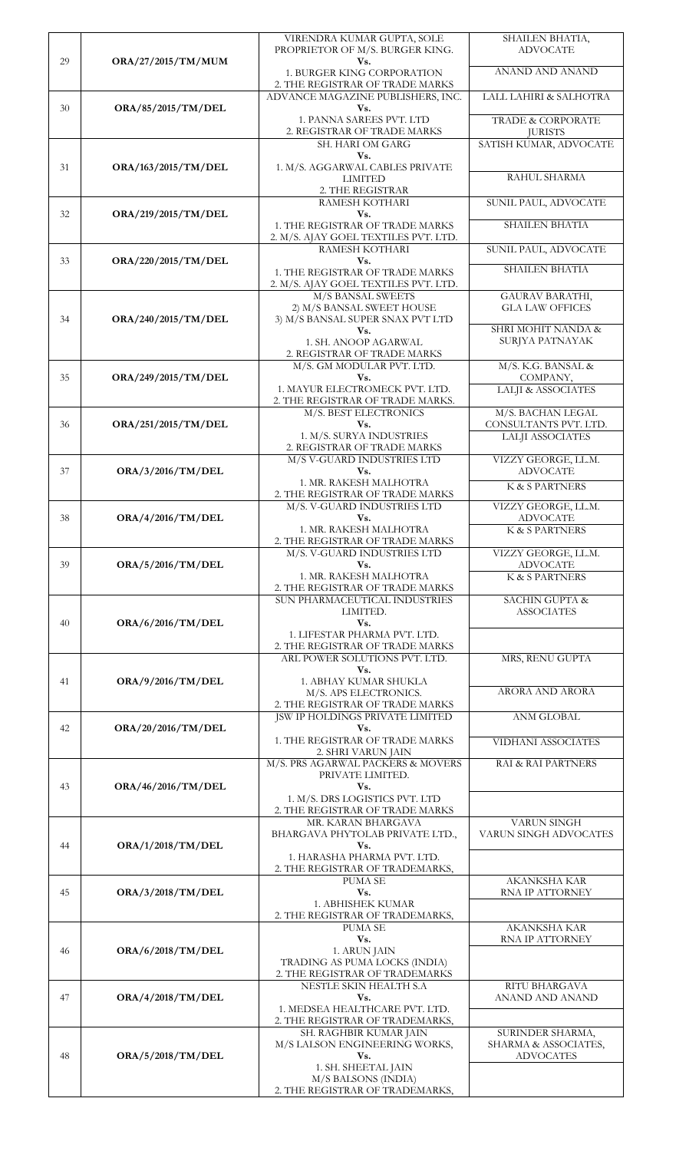|    |                           | VIRENDRA KUMAR GUPTA, SOLE<br>PROPRIETOR OF M/S. BURGER KING.             | SHAILEN BHATIA,<br><b>ADVOCATE</b>             |
|----|---------------------------|---------------------------------------------------------------------------|------------------------------------------------|
| 29 | <b>ORA/27/2015/TM/MUM</b> | Vs.                                                                       |                                                |
|    |                           | 1. BURGER KING CORPORATION                                                | ANAND AND ANAND                                |
|    |                           | 2. THE REGISTRAR OF TRADE MARKS<br>ADVANCE MAGAZINE PUBLISHERS, INC.      | LALL LAHIRI & SALHOTRA                         |
| 30 | ORA/85/2015/TM/DEL        | Vs.                                                                       |                                                |
|    |                           | 1. PANNA SAREES PVT. LTD                                                  | TRADE & CORPORATE                              |
|    |                           | 2. REGISTRAR OF TRADE MARKS<br>SH. HARI OM GARG                           | <b>JURISTS</b><br>SATISH KUMAR, ADVOCATE       |
|    |                           | Vs.                                                                       |                                                |
| 31 | ORA/163/2015/TM/DEL       | 1. M/S. AGGARWAL CABLES PRIVATE<br><b>LIMITED</b>                         | RAHUL SHARMA                                   |
|    |                           | 2. THE REGISTRAR                                                          |                                                |
|    |                           | RAMESH KOTHARI                                                            | SUNIL PAUL, ADVOCATE                           |
| 32 | ORA/219/2015/TM/DEL       | Vs.<br>1. THE REGISTRAR OF TRADE MARKS                                    | <b>SHAILEN BHATIA</b>                          |
|    |                           | 2. M/S. AJAY GOEL TEXTILES PVT. LTD.                                      |                                                |
|    |                           | RAMESH KOTHARI                                                            | SUNIL PAUL, ADVOCATE                           |
| 33 | ORA/220/2015/TM/DEL       | Vs.<br>1. THE REGISTRAR OF TRADE MARKS                                    | <b>SHAILEN BHATIA</b>                          |
|    |                           | 2. M/S. AJAY GOEL TEXTILES PVT. LTD.                                      |                                                |
|    |                           | M/S BANSAL SWEETS<br>2) M/S BANSAL SWEET HOUSE                            | GAURAV BARATHI,<br><b>GLA LAW OFFICES</b>      |
| 34 | ORA/240/2015/TM/DEL       | 3) M/S BANSAL SUPER SNAX PVT LTD                                          |                                                |
|    |                           | Vs.<br>1. SH. ANOOP AGARWAL                                               | SHRI MOHIT NANDA &<br>SURJYA PATNAYAK          |
|    |                           | 2. REGISTRAR OF TRADE MARKS                                               |                                                |
|    |                           | M/S. GM MODULAR PVT. LTD.<br>Vs.                                          | M/S. K.G. BANSAL &<br>COMPANY,                 |
| 35 | ORA/249/2015/TM/DEL       | 1. MAYUR ELECTROMECK PVT. LTD.                                            | <b>LALJI &amp; ASSOCIATES</b>                  |
|    |                           | 2. THE REGISTRAR OF TRADE MARKS.                                          |                                                |
| 36 | ORA/251/2015/TM/DEL       | M/S. BEST ELECTRONICS<br>Vs.                                              | M/S. BACHAN LEGAL<br>CONSULTANTS PVT. LTD.     |
|    |                           | 1. M/S. SURYA INDUSTRIES                                                  | <b>LALJI ASSOCIATES</b>                        |
|    |                           | 2. REGISTRAR OF TRADE MARKS<br>M/S V-GUARD INDUSTRIES LTD                 | VIZZY GEORGE, LL.M.                            |
| 37 | ORA/3/2016/TM/DEL         | Vs.                                                                       | <b>ADVOCATE</b>                                |
|    |                           | 1. MR. RAKESH MALHOTRA                                                    | K & S PARTNERS                                 |
|    |                           | 2. THE REGISTRAR OF TRADE MARKS<br>M/S. V-GUARD INDUSTRIES LTD            | VIZZY GEORGE, LL.M.                            |
| 38 | ORA/4/2016/TM/DEL         | Vs.                                                                       | <b>ADVOCATE</b>                                |
|    |                           | 1. MR. RAKESH MALHOTRA<br>2. THE REGISTRAR OF TRADE MARKS                 | K & S PARTNERS                                 |
|    |                           | M/S. V-GUARD INDUSTRIES LTD                                               | VIZZY GEORGE, LL.M.                            |
| 39 | ORA/5/2016/TM/DEL         | Vs.<br>1. MR. RAKESH MALHOTRA                                             | <b>ADVOCATE</b><br>K & S PARTNERS              |
|    |                           | 2. THE REGISTRAR OF TRADE MARKS                                           |                                                |
|    |                           | SUN PHARMACEUTICAL INDUSTRIES<br>LIMITED.                                 | <b>SACHIN GUPTA &amp;</b><br><b>ASSOCIATES</b> |
| 40 | ORA/6/2016/TM/DEL         | Vs.                                                                       |                                                |
|    |                           | 1. LIFESTAR PHARMA PVT. LTD.<br>2. THE REGISTRAR OF TRADE MARKS           |                                                |
|    |                           | ARL POWER SOLUTIONS PVT. LTD.                                             | MRS, RENU GUPTA                                |
| 41 | ORA/9/2016/TM/DEL         | Vs.<br>1. ABHAY KUMAR SHUKLA                                              |                                                |
|    |                           | M/S. APS ELECTRONICS.                                                     | ARORA AND ARORA                                |
|    |                           | 2. THE REGISTRAR OF TRADE MARKS<br><b>JSW IP HOLDINGS PRIVATE LIMITED</b> | <b>ANM GLOBAL</b>                              |
| 42 | ORA/20/2016/TM/DEL        | Vs.                                                                       |                                                |
|    |                           | 1. THE REGISTRAR OF TRADE MARKS                                           | VIDHANI ASSOCIATES                             |
|    |                           | 2. SHRI VARUN JAIN<br>M/S. PRS AGARWAL PACKERS & MOVERS                   | RAI & RAI PARTNERS                             |
|    |                           | PRIVATE LIMITED.                                                          |                                                |
| 43 | ORA/46/2016/TM/DEL        | Vs.<br>1. M/S. DRS LOGISTICS PVT. LTD                                     |                                                |
|    |                           | 2. THE REGISTRAR OF TRADE MARKS                                           |                                                |
|    |                           | MR. KARAN BHARGAVA<br>BHARGAVA PHYTOLAB PRIVATE LTD.,                     | <b>VARUN SINGH</b><br>VARUN SINGH ADVOCATES    |
| 44 | <b>ORA/1/2018/TM/DEL</b>  | Vs.                                                                       |                                                |
|    |                           | 1. HARASHA PHARMA PVT. LTD.                                               |                                                |
|    |                           | 2. THE REGISTRAR OF TRADEMARKS,<br>PUMA SE                                | <b>AKANKSHA KAR</b>                            |
| 45 | ORA/3/2018/TM/DEL         | Vs.                                                                       | RNA IP ATTORNEY                                |
|    |                           | 1. ABHISHEK KUMAR<br>2. THE REGISTRAR OF TRADEMARKS,                      |                                                |
|    |                           | PUMA SE                                                                   | AKANKSHA KAR                                   |
| 46 | ORA/6/2018/TM/DEL         | Vs.<br>1. ARUN JAIN                                                       | RNA IP ATTORNEY                                |
|    |                           | TRADING AS PUMA LOCKS (INDIA)                                             |                                                |
|    |                           | 2. THE REGISTRAR OF TRADEMARKS                                            |                                                |
| 47 | <b>ORA/4/2018/TM/DEL</b>  | NESTLE SKIN HEALTH S.A<br>Vs.                                             | RITU BHARGAVA<br>ANAND AND ANAND               |
|    |                           | 1. MEDSEA HEALTHCARE PVT. LTD.                                            |                                                |
|    |                           | 2. THE REGISTRAR OF TRADEMARKS,<br>SH. RAGHBIR KUMAR JAIN                 | SURINDER SHARMA,                               |
|    |                           | M/S LALSON ENGINEERING WORKS,                                             | SHARMA & ASSOCIATES,                           |
| 48 | ORA/5/2018/TM/DEL         | $\mathbf{V}\mathbf{s}$ .                                                  | <b>ADVOCATES</b>                               |
|    |                           | 1. SH. SHEETAL JAIN<br>M/S BALSONS (INDIA)                                |                                                |
|    |                           | 2. THE REGISTRAR OF TRADEMARKS,                                           |                                                |